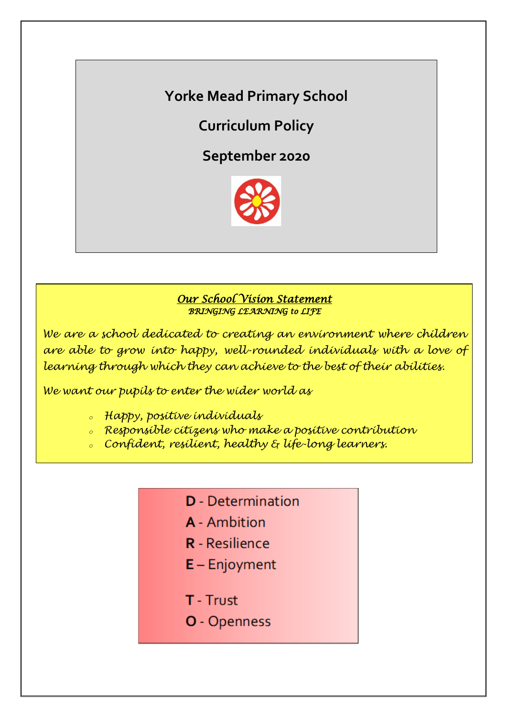**Yorke Mead Primary School**

**Curriculum Policy**

**September 2020**



# *Our School Vision Statement BRINGING LEARNING to LIFE*

*We are a school dedicated to creating an environment where children are able to grow into happy, well-rounded individuals with a love of learning through which they can achieve to the best of their abilities.*

*We want our pupils to enter the wider world as*

- *<sup>o</sup> Happy, positive individuals*
- *<sup>o</sup> Responsible citizens who make a positive contribution*
- *<sup>o</sup> Confident, resilient, healthy & life-long learners.*
	- **D** Determination
	- A Ambition
	- **R** Resilience
	- $E -$  Enjoyment
	- T Trust
	- O Openness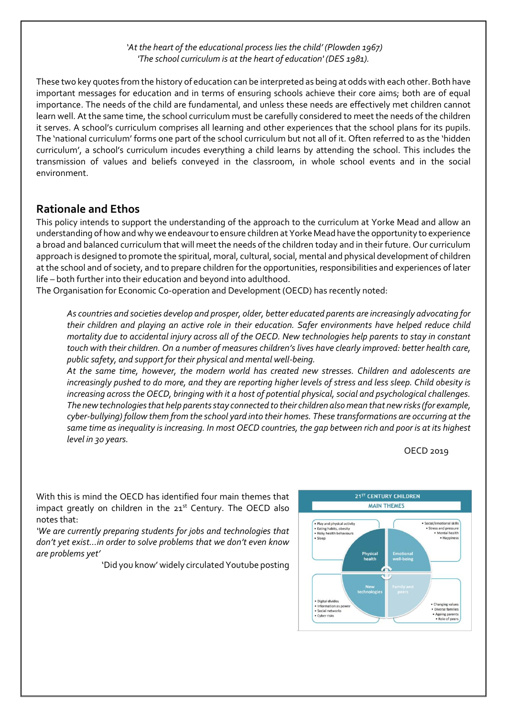#### *'At the heart of the educational process lies the child' (Plowden 1967) 'The school curriculum is at the heart of education' (DES 1981).*

These two key quotes from the history of education can be interpreted as being at odds with each other. Both have important messages for education and in terms of ensuring schools achieve their core aims; both are of equal importance. The needs of the child are fundamental, and unless these needs are effectively met children cannot learn well. At the same time, the school curriculum must be carefully considered to meet the needs of the children it serves. A school's curriculum comprises all learning and other experiences that the school plans for its pupils. The 'national curriculum' forms one part of the school curriculum but not all of it. Often referred to as the 'hidden curriculum', a school's curriculum incudes everything a child learns by attending the school. This includes the transmission of values and beliefs conveyed in the classroom, in whole school events and in the social environment.

## **Rationale and Ethos**

This policy intends to support the understanding of the approach to the curriculum at Yorke Mead and allow an understanding of how and whywe endeavour to ensure children at Yorke Mead have the opportunity to experience a broad and balanced curriculum that will meet the needs of the children today and in their future. Our curriculum approach is designed to promote the spiritual, moral, cultural, social, mental and physical development of children at the school and of society, and to prepare children for the opportunities, responsibilities and experiences of later life – both further into their education and beyond into adulthood.

The Organisation for Economic Co-operation and Development (OECD) has recently noted:

*As countries and societies develop and prosper, older, better educated parents are increasingly advocating for their children and playing an active role in their education. Safer environments have helped reduce child mortality due to accidental injury across all of the OECD. New technologies help parents to stay in constant touch with their children. On a number of measures children's lives have clearly improved: better health care, public safety, and support for their physical and mental well-being.*

*At the same time, however, the modern world has created new stresses. Children and adolescents are increasingly pushed to do more, and they are reporting higher levels of stress and less sleep. Child obesity is increasing across the OECD, bringing with it a host of potential physical, social and psychological challenges. The new technologies that help parents stay connected to their children also mean that new risks (for example, cyber-bullying) follow them from the school yard into their homes. These transformations are occurring at the same time as inequality is increasing. In most OECD countries, the gap between rich and poor is at its highest level in 30 years.*

OECD 2019

With this is mind the OECD has identified four main themes that impact greatly on children in the  $21<sup>st</sup>$  Century. The OECD also notes that:

*'We are currently preparing students for jobs and technologies that don't yet exist…in order to solve problems that we don't even know are problems yet'* 

'Did you know' widely circulated Youtube posting

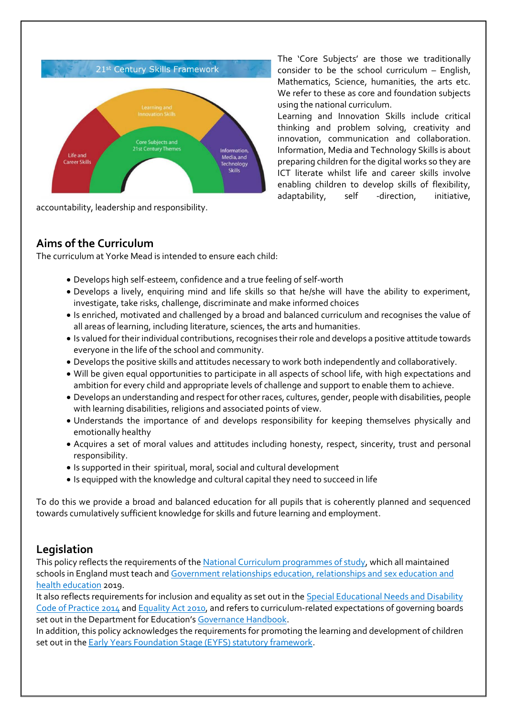

accountability, leadership and responsibility.

The 'Core Subjects' are those we traditionally consider to be the school curriculum – English, Mathematics, Science, humanities, the arts etc. We refer to these as core and foundation subjects using the national curriculum.

Learning and Innovation Skills include critical thinking and problem solving, creativity and innovation, communication and collaboration. Information, Media and Technology Skills is about preparing children for the digital works so they are ICT literate whilst life and career skills involve enabling children to develop skills of flexibility, adaptability, self -direction, initiative,

# **Aims of the Curriculum**

The curriculum at Yorke Mead is intended to ensure each child:

- Develops high self-esteem, confidence and a true feeling of self-worth
- Develops a lively, enquiring mind and life skills so that he/she will have the ability to experiment, investigate, take risks, challenge, discriminate and make informed choices
- Is enriched, motivated and challenged by a broad and balanced curriculum and recognises the value of all areas of learning, including literature, sciences, the arts and humanities.
- Is valued for their individual contributions, recognises their role and develops a positive attitude towards everyone in the life of the school and community.
- Develops the positive skills and attitudes necessary to work both independently and collaboratively.
- Will be given equal opportunities to participate in all aspects of school life, with high expectations and ambition for every child and appropriate levels of challenge and support to enable them to achieve.
- Develops an understanding and respect for other races, cultures, gender, people with disabilities, people with learning disabilities, religions and associated points of view.
- Understands the importance of and develops responsibility for keeping themselves physically and emotionally healthy
- Acquires a set of moral values and attitudes including honesty, respect, sincerity, trust and personal responsibility.
- Is supported in their spiritual, moral, social and cultural development
- Is equipped with the knowledge and cultural capital they need to succeed in life

To do this we provide a broad and balanced education for all pupils that is coherently planned and sequenced towards cumulatively sufficient knowledge for skills and future learning and employment.

## **Legislation**

This policy reflects the requirements of th[e National Curriculum programmes of study,](https://www.gov.uk/government/collections/national-curriculum) which all maintained schools in England must teach and Government relationships education, relationships and sex education and [health education](file://///172.18.38.246/pollardl$/POLICY%20AND%20PROCEDURES/School%20Policies/www.gov.uk/government/publications/relationships-education-relationships-and-sex-education-rse-and-health-education) 2019.

It also reflects requirements for inclusion and equality as set out in the [Special Educational Needs and Disability](https://www.gov.uk/government/publications/send-code-of-practice-0-to-25)  [Code of Practice 2014](https://www.gov.uk/government/publications/send-code-of-practice-0-to-25) an[d Equality Act 2010,](http://www.legislation.gov.uk/ukpga/2010/15/part/6/chapter/1) and refers to curriculum-related expectations of governing boards set out in the Department for Education's [Governance Handbook.](https://www.gov.uk/government/publications/governance-handbook)

In addition, this policy acknowledges the requirements for promoting the learning and development of children set out in the [Early Years Foundation Stage \(EYFS\) statutory framework.](https://www.gov.uk/government/publications/early-years-foundation-stage-framework--2)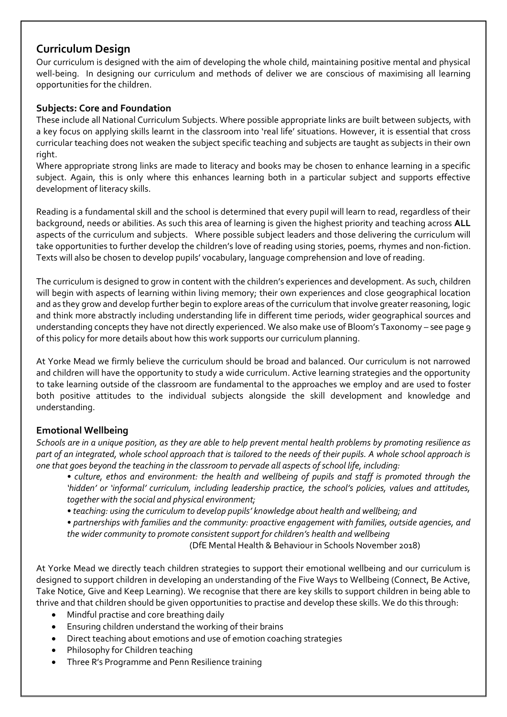## **Curriculum Design**

Our curriculum is designed with the aim of developing the whole child, maintaining positive mental and physical well-being. In designing our curriculum and methods of deliver we are conscious of maximising all learning opportunities for the children.

### **Subjects: Core and Foundation**

These include all National Curriculum Subjects. Where possible appropriate links are built between subjects, with a key focus on applying skills learnt in the classroom into 'real life' situations. However, it is essential that cross curricular teaching does not weaken the subject specific teaching and subjects are taught as subjects in their own right.

Where appropriate strong links are made to literacy and books may be chosen to enhance learning in a specific subject. Again, this is only where this enhances learning both in a particular subject and supports effective development of literacy skills.

Reading is a fundamental skill and the school is determined that every pupil will learn to read, regardless of their background, needs or abilities. As such this area of learning is given the highest priority and teaching across **ALL** aspects of the curriculum and subjects. Where possible subject leaders and those delivering the curriculum will take opportunities to further develop the children's love of reading using stories, poems, rhymes and non-fiction. Texts will also be chosen to develop pupils' vocabulary, language comprehension and love of reading.

The curriculum is designed to grow in content with the children's experiences and development. As such, children will begin with aspects of learning within living memory; their own experiences and close geographical location and as they grow and develop further begin to explore areas of the curriculum that involve greater reasoning, logic and think more abstractly including understanding life in different time periods, wider geographical sources and understanding concepts they have not directly experienced. We also make use of Bloom's Taxonomy – see page 9 of this policy for more details about how this work supports our curriculum planning.

At Yorke Mead we firmly believe the curriculum should be broad and balanced. Our curriculum is not narrowed and children will have the opportunity to study a wide curriculum. Active learning strategies and the opportunity to take learning outside of the classroom are fundamental to the approaches we employ and are used to foster both positive attitudes to the individual subjects alongside the skill development and knowledge and understanding.

## **Emotional Wellbeing**

*Schools are in a unique position, as they are able to help prevent mental health problems by promoting resilience as part of an integrated, whole school approach that is tailored to the needs of their pupils. A whole school approach is one that goes beyond the teaching in the classroom to pervade all aspects of school life, including:*

*• culture, ethos and environment: the health and wellbeing of pupils and staff is promoted through the 'hidden' or 'informal' curriculum, including leadership practice, the school's policies, values and attitudes, together with the social and physical environment;*

*• teaching: using the curriculum to develop pupils' knowledge about health and wellbeing; and*

*• partnerships with families and the community: proactive engagement with families, outside agencies, and the wider community to promote consistent support for children's health and wellbeing*

(DfE Mental Health & Behaviour in Schools November 2018)

At Yorke Mead we directly teach children strategies to support their emotional wellbeing and our curriculum is designed to support children in developing an understanding of the Five Ways to Wellbeing (Connect, Be Active, Take Notice, Give and Keep Learning). We recognise that there are key skills to support children in being able to thrive and that children should be given opportunities to practise and develop these skills. We do this through:

- Mindful practise and core breathing daily
- Ensuring children understand the working of their brains
- Direct teaching about emotions and use of emotion coaching strategies
- Philosophy for Children teaching
- Three R's Programme and Penn Resilience training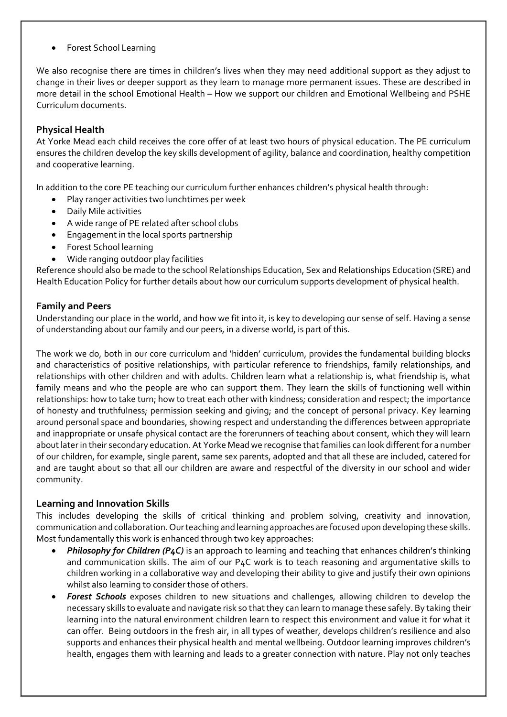Forest School Learning

We also recognise there are times in children's lives when they may need additional support as they adjust to change in their lives or deeper support as they learn to manage more permanent issues. These are described in more detail in the school Emotional Health – How we support our children and Emotional Wellbeing and PSHE Curriculum documents.

### **Physical Health**

At Yorke Mead each child receives the core offer of at least two hours of physical education. The PE curriculum ensures the children develop the key skills development of agility, balance and coordination, healthy competition and cooperative learning.

In addition to the core PE teaching our curriculum further enhances children's physical health through:

- Play ranger activities two lunchtimes per week
- Daily Mile activities
- A wide range of PE related after school clubs
- **Engagement in the local sports partnership**
- Forest School learning
- Wide ranging outdoor play facilities

Reference should also be made to the school Relationships Education, Sex and Relationships Education (SRE) and Health Education Policy for further details about how our curriculum supports development of physical health.

#### **Family and Peers**

Understanding our place in the world, and how we fit into it, is key to developing our sense of self. Having a sense of understanding about our family and our peers, in a diverse world, is part of this.

The work we do, both in our core curriculum and 'hidden' curriculum, provides the fundamental building blocks and characteristics of positive relationships, with particular reference to friendships, family relationships, and relationships with other children and with adults. Children learn what a relationship is, what friendship is, what family means and who the people are who can support them. They learn the skills of functioning well within relationships: how to take turn; how to treat each other with kindness; consideration and respect; the importance of honesty and truthfulness; permission seeking and giving; and the concept of personal privacy. Key learning around personal space and boundaries, showing respect and understanding the differences between appropriate and inappropriate or unsafe physical contact are the forerunners of teaching about consent, which they will learn about later in their secondary education. At Yorke Mead we recognise that families can look different for a number of our children, for example, single parent, same sex parents, adopted and that all these are included, catered for and are taught about so that all our children are aware and respectful of the diversity in our school and wider community.

#### **Learning and Innovation Skills**

This includes developing the skills of critical thinking and problem solving, creativity and innovation, communication and collaboration. Our teaching and learning approaches are focused upon developing these skills. Most fundamentally this work is enhanced through two key approaches:

- *Philosophy for Children (P4C)* is an approach to learning and teaching that enhances children's thinking and communication skills. The aim of our P4C work is to teach reasoning and argumentative skills to children working in a collaborative way and developing their ability to give and justify their own opinions whilst also learning to consider those of others.
- *Forest Schools* exposes children to new situations and challenges, allowing children to develop the necessary skills to evaluate and navigate risk so that they can learn to manage these safely. By taking their learning into the natural environment children learn to respect this environment and value it for what it can offer. Being outdoors in the fresh air, in all types of weather, develops children's resilience and also supports and enhances their physical health and mental wellbeing. Outdoor learning improves children's health, engages them with learning and leads to a greater connection with nature. Play not only teaches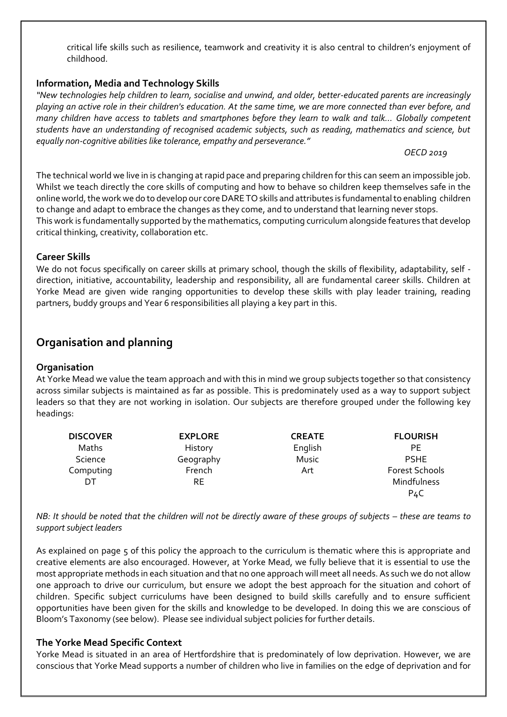critical life skills such as resilience, teamwork and creativity it is also central to children's enjoyment of childhood.

#### **Information, Media and Technology Skills**

*"New technologies help children to learn, socialise and unwind, and older, better-educated parents are increasingly playing an active role in their children's education. At the same time, we are more connected than ever before, and many children have access to tablets and smartphones before they learn to walk and talk… Globally competent students have an understanding of recognised academic subjects, such as reading, mathematics and science, but equally non-cognitive abilities like tolerance, empathy and perseverance."* 

#### *OECD 2019*

The technical world we live in is changing at rapid pace and preparing children for this can seem an impossible job. Whilst we teach directly the core skills of computing and how to behave so children keep themselves safe in the online world, the work we do to develop our core DARE TO skills and attributes is fundamental to enabling children to change and adapt to embrace the changes as they come, and to understand that learning never stops. This work is fundamentally supported by the mathematics, computing curriculum alongside features that develop critical thinking, creativity, collaboration etc.

#### **Career Skills**

We do not focus specifically on career skills at primary school, though the skills of flexibility, adaptability, self direction, initiative, accountability, leadership and responsibility, all are fundamental career skills. Children at Yorke Mead are given wide ranging opportunities to develop these skills with play leader training, reading partners, buddy groups and Year 6 responsibilities all playing a key part in this.

# **Organisation and planning**

#### **Organisation**

At Yorke Mead we value the team approach and with this in mind we group subjects together so that consistency across similar subjects is maintained as far as possible. This is predominately used as a way to support subject leaders so that they are not working in isolation. Our subjects are therefore grouped under the following key headings:

| <b>DISCOVER</b> | <b>EXPLORE</b> | <b>CREATE</b> | <b>FLOURISH</b>       |
|-----------------|----------------|---------------|-----------------------|
| Maths           | History        | English       | РE                    |
| Science         | Geography      | Music         | <b>PSHE</b>           |
| Computing       | French         | Art           | <b>Forest Schools</b> |
| DT              | RE             |               | Mindfulness           |
|                 |                |               | P4C                   |

*NB: It should be noted that the children will not be directly aware of these groups of subjects – these are teams to support subject leaders* 

As explained on page 5 of this policy the approach to the curriculum is thematic where this is appropriate and creative elements are also encouraged. However, at Yorke Mead, we fully believe that it is essential to use the most appropriate methods in each situation and that no one approach will meet all needs. As such we do not allow one approach to drive our curriculum, but ensure we adopt the best approach for the situation and cohort of children. Specific subject curriculums have been designed to build skills carefully and to ensure sufficient opportunities have been given for the skills and knowledge to be developed. In doing this we are conscious of Bloom's Taxonomy (see below). Please see individual subject policies for further details.

#### **The Yorke Mead Specific Context**

Yorke Mead is situated in an area of Hertfordshire that is predominately of low deprivation. However, we are conscious that Yorke Mead supports a number of children who live in families on the edge of deprivation and for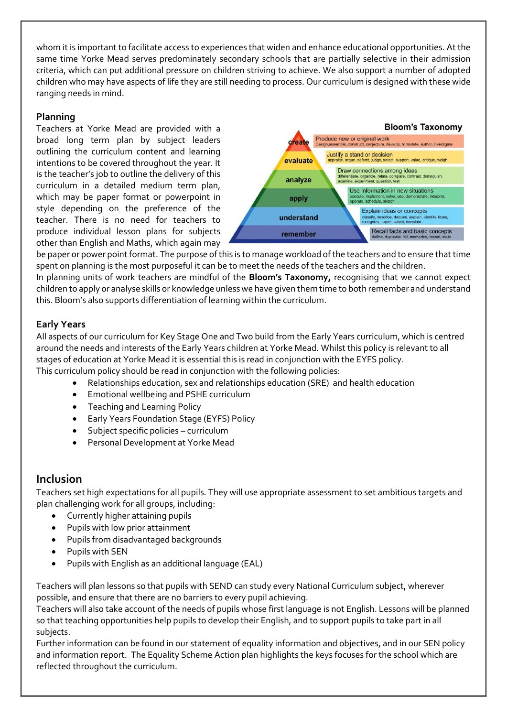whom it is important to facilitate access to experiences that widen and enhance educational opportunities. At the same time Yorke Mead serves predominately secondary schools that are partially selective in their admission criteria, which can put additional pressure on children striving to achieve. We also support a number of adopted children who may have aspects of life they are still needing to process. Our curriculum is designed with these wide ranging needs in mind.

### **Planning**

Teachers at Yorke Mead are provided with a broad long term plan by subject leaders outlining the curriculum content and learning intentions to be covered throughout the year. It is the teacher's job to outline the delivery of this curriculum in a detailed medium term plan, which may be paper format or powerpoint in style depending on the preference of the teacher. There is no need for teachers to produce individual lesson plans for subjects other than English and Maths, which again may



be paper or power point format. The purpose of this is to manage workload of the teachers and to ensure that time spent on planning is the most purposeful it can be to meet the needs of the teachers and the children. In planning units of work teachers are mindful of the **Bloom's Taxonomy,** recognising that we cannot expect children to apply or analyse skills or knowledge unless we have given them time to both remember and understand this. Bloom's also supports differentiation of learning within the curriculum.

### **Early Years**

All aspects of our curriculum for Key Stage One and Two build from the Early Years curriculum, which is centred around the needs and interests of the Early Years children at Yorke Mead. Whilst this policy is relevant to all stages of education at Yorke Mead it is essential this is read in conjunction with the EYFS policy. This curriculum policy should be read in conjunction with the following policies:

- Relationships education, sex and relationships education (SRE) and health education
- Emotional wellbeing and PSHE curriculum
- Teaching and Learning Policy
- Early Years Foundation Stage (EYFS) Policy
- Subject specific policies curriculum
- Personal Development at Yorke Mead

# **Inclusion**

Teachers set high expectations for all pupils. They will use appropriate assessment to set ambitious targets and plan challenging work for all groups, including:

- Currently higher attaining pupils
- Pupils with low prior attainment
- Pupils from disadvantaged backgrounds
- Pupils with SEN
- Pupils with English as an additional language (EAL)

Teachers will plan lessons so that pupils with SEND can study every National Curriculum subject, wherever possible, and ensure that there are no barriers to every pupil achieving.

Teachers will also take account of the needs of pupils whose first language is not English. Lessons will be planned so that teaching opportunities help pupils to develop their English, and to support pupils to take part in all subjects.

Further information can be found in our statement of equality information and objectives, and in our SEN policy and information report. The Equality Scheme Action plan highlights the keys focuses for the school which are reflected throughout the curriculum.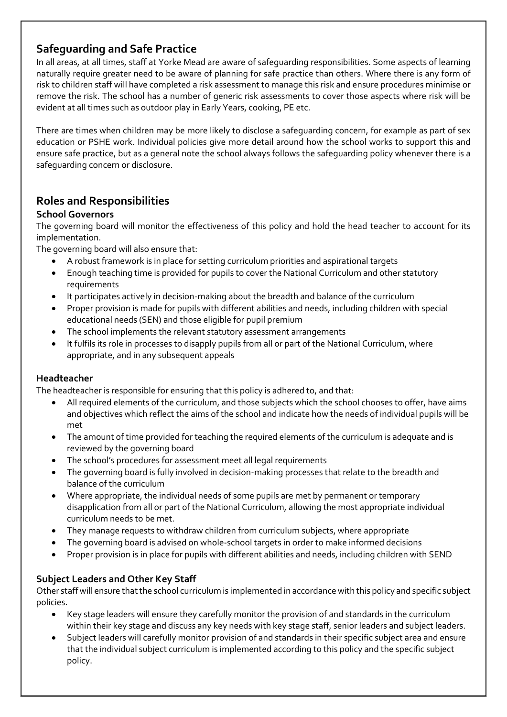# **Safeguarding and Safe Practice**

In all areas, at all times, staff at Yorke Mead are aware of safeguarding responsibilities. Some aspects of learning naturally require greater need to be aware of planning for safe practice than others. Where there is any form of risk to children staff will have completed a risk assessment to manage this risk and ensure procedures minimise or remove the risk. The school has a number of generic risk assessments to cover those aspects where risk will be evident at all times such as outdoor play in Early Years, cooking, PE etc.

There are times when children may be more likely to disclose a safeguarding concern, for example as part of sex education or PSHE work. Individual policies give more detail around how the school works to support this and ensure safe practice, but as a general note the school always follows the safeguarding policy whenever there is a safeguarding concern or disclosure.

# **Roles and Responsibilities**

## **School Governors**

The governing board will monitor the effectiveness of this policy and hold the head teacher to account for its implementation.

The governing board will also ensure that:

- A robust framework is in place for setting curriculum priorities and aspirational targets
- Enough teaching time is provided for pupils to cover the National Curriculum and other statutory requirements
- It participates actively in decision-making about the breadth and balance of the curriculum
- Proper provision is made for pupils with different abilities and needs, including children with special educational needs (SEN) and those eligible for pupil premium
- The school implements the relevant statutory assessment arrangements
- It fulfils its role in processes to disapply pupils from all or part of the National Curriculum, where appropriate, and in any subsequent appeals

### **Headteacher**

The headteacher is responsible for ensuring that this policy is adhered to, and that:

- All required elements of the curriculum, and those subjects which the school chooses to offer, have aims and objectives which reflect the aims of the school and indicate how the needs of individual pupils will be met
- The amount of time provided for teaching the required elements of the curriculum is adequate and is reviewed by the governing board
- The school's procedures for assessment meet all legal requirements
- The governing board is fully involved in decision-making processes that relate to the breadth and balance of the curriculum
- Where appropriate, the individual needs of some pupils are met by permanent or temporary disapplication from all or part of the National Curriculum, allowing the most appropriate individual curriculum needs to be met.
- They manage requests to withdraw children from curriculum subjects, where appropriate
- The governing board is advised on whole-school targets in order to make informed decisions
- Proper provision is in place for pupils with different abilities and needs, including children with SEND

## **Subject Leaders and Other Key Staff**

Other staff will ensure that the school curriculum is implemented in accordance with this policy and specific subject policies.

- Key stage leaders will ensure they carefully monitor the provision of and standards in the curriculum within their key stage and discuss any key needs with key stage staff, senior leaders and subject leaders.
- Subject leaders will carefully monitor provision of and standards in their specific subject area and ensure that the individual subject curriculum is implemented according to this policy and the specific subject policy.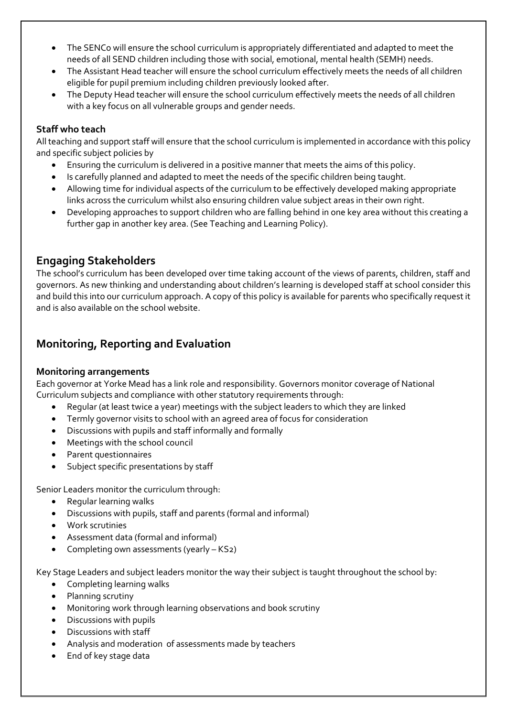- The SENCo will ensure the school curriculum is appropriately differentiated and adapted to meet the needs of all SEND children including those with social, emotional, mental health (SEMH) needs.
- The Assistant Head teacher will ensure the school curriculum effectively meets the needs of all children eligible for pupil premium including children previously looked after.
- The Deputy Head teacher will ensure the school curriculum effectively meets the needs of all children with a key focus on all vulnerable groups and gender needs.

### **Staff who teach**

All teaching and support staff will ensure that the school curriculum is implemented in accordance with this policy and specific subject policies by

- Ensuring the curriculum is delivered in a positive manner that meets the aims of this policy.
- Is carefully planned and adapted to meet the needs of the specific children being taught.
- Allowing time for individual aspects of the curriculum to be effectively developed making appropriate links across the curriculum whilst also ensuring children value subject areas in their own right.
- Developing approaches to support children who are falling behind in one key area without this creating a further gap in another key area. (See Teaching and Learning Policy).

# **Engaging Stakeholders**

The school's curriculum has been developed over time taking account of the views of parents, children, staff and governors. As new thinking and understanding about children's learning is developed staff at school consider this and build this into our curriculum approach. A copy of this policy is available for parents who specifically request it and is also available on the school website.

# **Monitoring, Reporting and Evaluation**

### **Monitoring arrangements**

Each governor at Yorke Mead has a link role and responsibility. Governors monitor coverage of National Curriculum subjects and compliance with other statutory requirements through:

- Regular (at least twice a year) meetings with the subject leaders to which they are linked
- Termly governor visits to school with an agreed area of focus for consideration
- Discussions with pupils and staff informally and formally
- Meetings with the school council
- Parent questionnaires
- Subject specific presentations by staff

Senior Leaders monitor the curriculum through:

- Regular learning walks
- Discussions with pupils, staff and parents (formal and informal)
- Work scrutinies
- Assessment data (formal and informal)
- Completing own assessments (yearly KS2)

Key Stage Leaders and subject leaders monitor the way their subject is taught throughout the school by:

- Completing learning walks
- Planning scrutiny
- Monitoring work through learning observations and book scrutiny
- Discussions with pupils
- Discussions with staff
- Analysis and moderation of assessments made by teachers
- End of key stage data